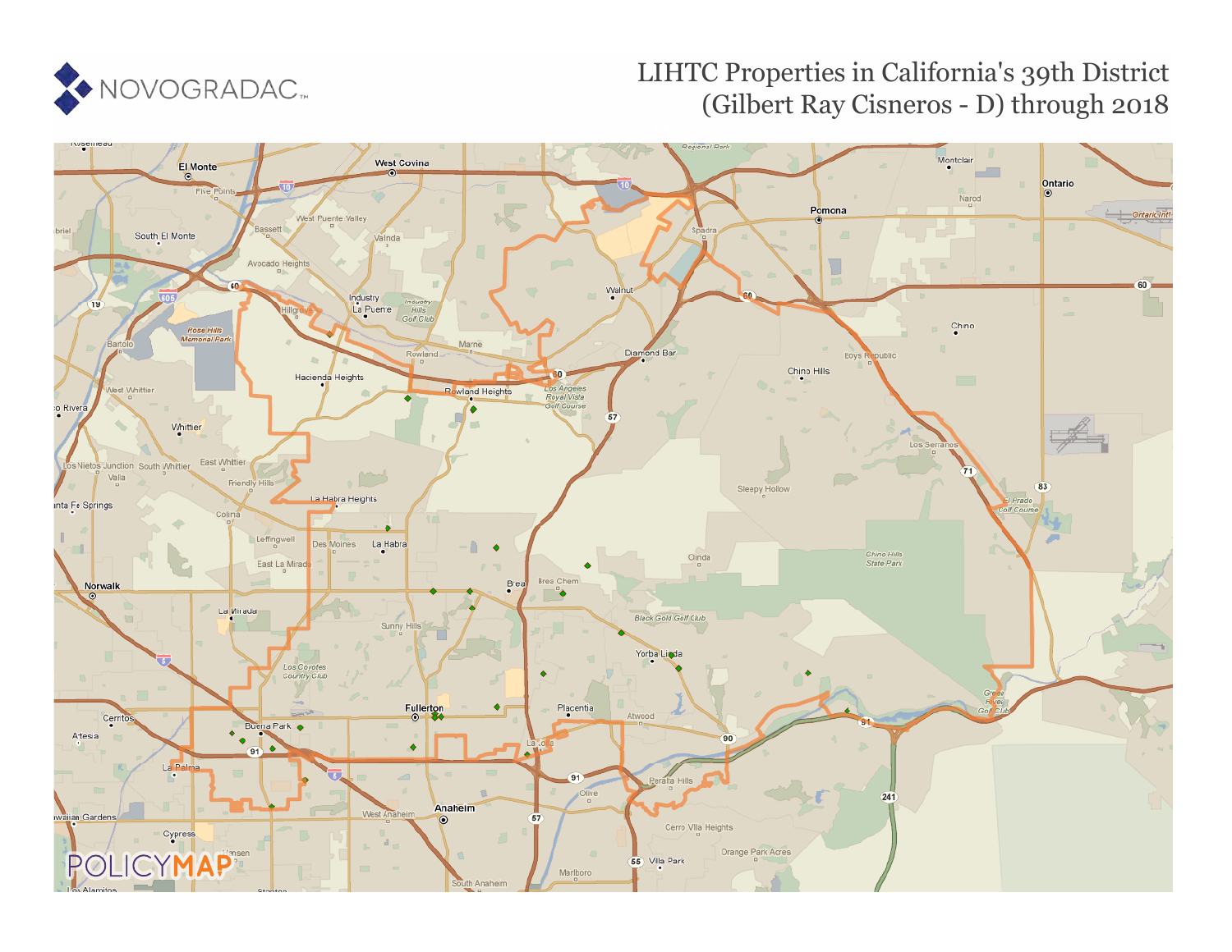

## LIHTC Properties in California's 39th District (Gilbert Ray Cisneros - D) through 2018

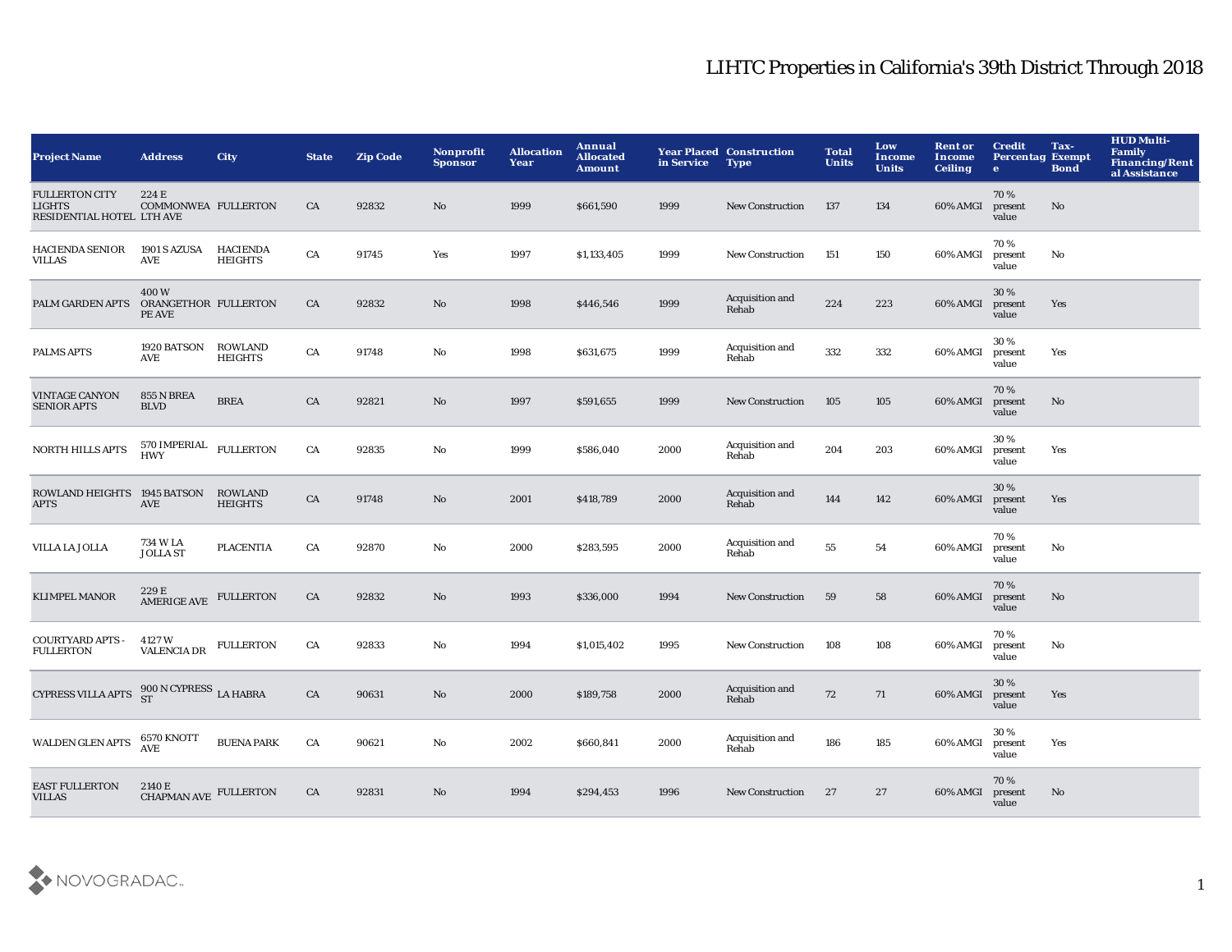## LIHTC Properties in California's 39th District Through 2018

| <b>Project Name</b>                                                 | <b>Address</b>                         | <b>City</b>                       | <b>State</b> | <b>Zip Code</b> | Nonprofit<br><b>Sponsor</b> | <b>Allocation</b><br>Year | Annual<br><b>Allocated</b><br><b>Amount</b> | in Service | <b>Year Placed Construction</b><br><b>Type</b> | <b>Total</b><br><b>Units</b> | Low<br>Income<br><b>Units</b> | <b>Rent or</b><br><b>Income</b><br><b>Ceiling</b> | <b>Credit</b><br><b>Percentag Exempt</b><br>$\bullet$ | Tax-<br><b>Bond</b>    | <b>HUD Multi-</b><br><b>Family</b><br><b>Financing/Rent</b><br>al Assistance |
|---------------------------------------------------------------------|----------------------------------------|-----------------------------------|--------------|-----------------|-----------------------------|---------------------------|---------------------------------------------|------------|------------------------------------------------|------------------------------|-------------------------------|---------------------------------------------------|-------------------------------------------------------|------------------------|------------------------------------------------------------------------------|
| <b>FULLERTON CITY</b><br><b>LIGHTS</b><br>RESIDENTIAL HOTEL LTH AVE | 224 E<br>COMMONWEA FULLERTON           |                                   | CA           | 92832           | No                          | 1999                      | \$661,590                                   | 1999       | <b>New Construction</b>                        | 137                          | 134                           | 60% AMGI                                          | 70%<br>present<br>value                               | No                     |                                                                              |
| <b>HACIENDA SENIOR</b><br><b>VILLAS</b>                             | 1901 S AZUSA<br>AVE                    | <b>HACIENDA</b><br><b>HEIGHTS</b> | CA           | 91745           | Yes                         | 1997                      | \$1,133,405                                 | 1999       | <b>New Construction</b>                        | 151                          | 150                           | 60% AMGI                                          | 70%<br>present<br>value                               | No                     |                                                                              |
| PALM GARDEN APTS                                                    | 400W<br>ORANGETHOR FULLERTON<br>PE AVE |                                   | ${\rm CA}$   | 92832           | $\rm No$                    | 1998                      | \$446,546                                   | 1999       | Acquisition and<br>Rehab                       | 224                          | 223                           | 60% AMGI                                          | 30 %<br>present<br>value                              | Yes                    |                                                                              |
| <b>PALMS APTS</b>                                                   | 1920 BATSON<br>AVE                     | <b>ROWLAND</b><br><b>HEIGHTS</b>  | ${\rm CA}$   | 91748           | $\rm No$                    | 1998                      | \$631,675                                   | 1999       | Acquisition and<br>Rehab                       | 332                          | 332                           | 60% AMGI                                          | 30%<br>present<br>value                               | Yes                    |                                                                              |
| <b>VINTAGE CANYON</b><br><b>SENIOR APTS</b>                         | 855 N BREA<br><b>BLVD</b>              | <b>BREA</b>                       | CA           | 92821           | No                          | 1997                      | \$591,655                                   | 1999       | <b>New Construction</b>                        | 105                          | 105                           | 60% AMGI                                          | 70%<br>present<br>value                               | $\mathbf{N}\mathbf{o}$ |                                                                              |
| <b>NORTH HILLS APTS</b>                                             | 570 IMPERIAL<br>HWY                    | <b>FULLERTON</b>                  | ${\rm CA}$   | 92835           | $\mathbf{N}\mathbf{o}$      | 1999                      | \$586,040                                   | 2000       | Acquisition and<br>Rehab                       | 204                          | 203                           | 60% AMGI                                          | 30%<br>present<br>value                               | Yes                    |                                                                              |
| ROWLAND HEIGHTS 1945 BATSON<br><b>APTS</b>                          | AVE                                    | <b>ROWLAND</b><br><b>HEIGHTS</b>  | ${\rm CA}$   | 91748           | $\mathbf{N}\mathbf{o}$      | 2001                      | \$418,789                                   | 2000       | Acquisition and<br>Rehab                       | 144                          | 142                           | 60% AMGI                                          | 30%<br>present<br>value                               | Yes                    |                                                                              |
| VILLA LA JOLLA                                                      | 734 W LA<br><b>JOLLA ST</b>            | <b>PLACENTIA</b>                  | CA           | 92870           | No                          | 2000                      | \$283,595                                   | 2000       | Acquisition and<br>Rehab                       | ${\bf 55}$                   | ${\bf 54}$                    | 60% AMGI                                          | 70%<br>present<br>value                               | No                     |                                                                              |
| <b>KLIMPEL MANOR</b>                                                | 229 E<br>AMERIGE AVE                   | <b>FULLERTON</b>                  | CA           | 92832           | No                          | 1993                      | \$336,000                                   | 1994       | <b>New Construction</b>                        | 59                           | 58                            | 60% AMGI                                          | 70%<br>present<br>value                               | No                     |                                                                              |
| <b>COURTYARD APTS -</b><br><b>FULLERTON</b>                         | 4127 W<br><b>VALENCIA DR</b>           | <b>FULLERTON</b>                  | CA           | 92833           | No                          | 1994                      | \$1,015,402                                 | 1995       | <b>New Construction</b>                        | 108                          | 108                           | 60% AMGI                                          | 70%<br>present<br>value                               | No                     |                                                                              |
| CYPRESS VILLA APTS $^{900\,N\,CYPRESS}_{ST}$ LA HABRA               |                                        |                                   | CA           | 90631           | No                          | 2000                      | \$189,758                                   | 2000       | Acquisition and<br>Rehab                       | 72                           | 71                            | 60% AMGI                                          | 30 %<br>present<br>value                              | Yes                    |                                                                              |
| <b>WALDEN GLEN APTS</b>                                             | 6570 KNOTT<br>AVE                      | <b>BUENA PARK</b>                 | CA           | 90621           | No                          | 2002                      | \$660,841                                   | 2000       | Acquisition and<br>Rehab                       | 186                          | 185                           | 60% AMGI                                          | 30%<br>present<br>value                               | Yes                    |                                                                              |
| <b>EAST FULLERTON</b><br><b>VILLAS</b>                              | 2140 E<br>CHAPMAN AVE FULLERTON        |                                   | CA           | 92831           | No                          | 1994                      | \$294,453                                   | 1996       | <b>New Construction</b>                        | 27                           | 27                            | 60% AMGI                                          | 70%<br>present<br>value                               | No                     |                                                                              |

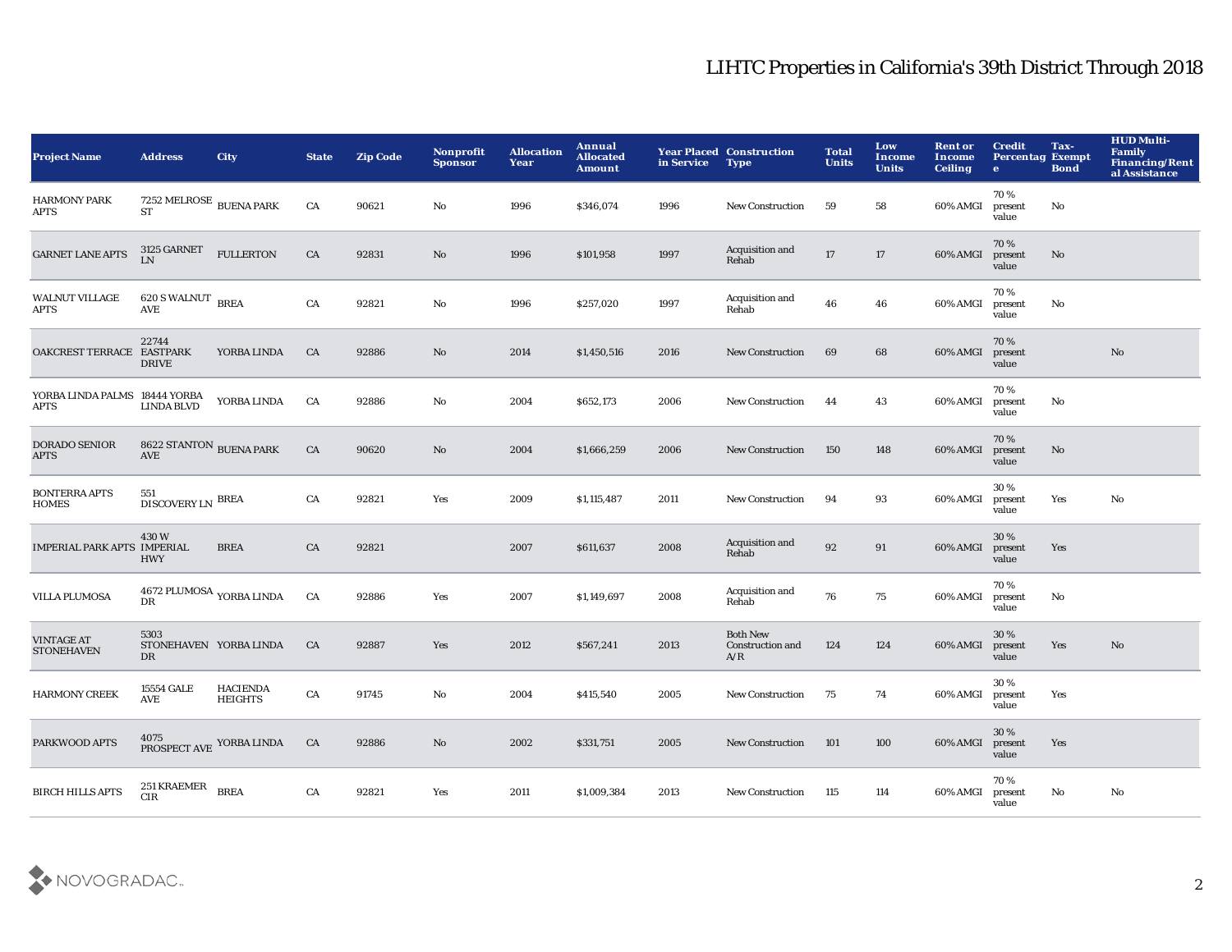## LIHTC Properties in California's 39th District Through 2018

| <b>Project Name</b>                          | <b>Address</b>                                                      | <b>City</b>                       | <b>State</b> | <b>Zip Code</b> | Nonprofit<br><b>Sponsor</b> | <b>Allocation</b><br>Year | Annual<br><b>Allocated</b><br><b>Amount</b> | in Service | <b>Year Placed Construction</b><br><b>Type</b> | <b>Total</b><br><b>Units</b> | Low<br>Income<br><b>Units</b> | <b>Rent or</b><br><b>Income</b><br><b>Ceiling</b> | <b>Credit</b><br><b>Percentag Exempt</b><br>$\bullet$ | Tax-<br><b>Bond</b> | <b>HUD Multi-</b><br>Family<br><b>Financing/Rent</b><br>al Assistance |
|----------------------------------------------|---------------------------------------------------------------------|-----------------------------------|--------------|-----------------|-----------------------------|---------------------------|---------------------------------------------|------------|------------------------------------------------|------------------------------|-------------------------------|---------------------------------------------------|-------------------------------------------------------|---------------------|-----------------------------------------------------------------------|
| <b>HARMONY PARK</b><br>APTS                  | 7252 MELROSE $_{\rm BUENA}$ PARK<br><b>ST</b>                       |                                   | CA           | 90621           | No                          | 1996                      | \$346,074                                   | 1996       | <b>New Construction</b>                        | 59                           | 58                            | 60% AMGI                                          | 70%<br>present<br>value                               | No                  |                                                                       |
| <b>GARNET LANE APTS</b>                      | $3125~\mathrm{GARNET}$<br><b>LN</b>                                 | <b>FULLERTON</b>                  | CA           | 92831           | No                          | 1996                      | \$101,958                                   | 1997       | Acquisition and<br>Rehab                       | 17                           | 17                            | 60% AMGI                                          | 70%<br>present<br>value                               | No                  |                                                                       |
| <b>WALNUT VILLAGE</b><br>APTS                | 620 S WALNUT BREA<br>AVE                                            |                                   | CA           | 92821           | No                          | 1996                      | \$257,020                                   | 1997       | Acquisition and<br>Rehab                       | 46                           | 46                            | 60% AMGI                                          | 70%<br>present<br>value                               | No                  |                                                                       |
| OAKCREST TERRACE EASTPARK                    | 22744<br><b>DRIVE</b>                                               | YORBA LINDA                       | CA           | 92886           | No                          | 2014                      | \$1,450,516                                 | 2016       | <b>New Construction</b>                        | 69                           | 68                            | 60% AMGI                                          | 70%<br>present<br>value                               |                     | $\mathbf{N}\mathbf{o}$                                                |
| YORBA LINDA PALMS 18444 YORBA<br><b>APTS</b> | <b>LINDA BLVD</b>                                                   | YORBA LINDA                       | CA           | 92886           | No                          | 2004                      | \$652,173                                   | 2006       | <b>New Construction</b>                        | 44                           | 43                            | 60% AMGI                                          | 70%<br>present<br>value                               | No                  |                                                                       |
| DORADO SENIOR<br><b>APTS</b>                 | 8622 STANTON BUENA PARK<br>AVE                                      |                                   | CA           | 90620           | No                          | 2004                      | \$1,666,259                                 | 2006       | <b>New Construction</b>                        | 150                          | 148                           | 60% AMGI                                          | 70%<br>present<br>value                               | No                  |                                                                       |
| <b>BONTERRA APTS</b><br>HOMES                | 551<br>$\textsc{DISCOVERY}\xspace\textsc{LN} \xspace \textsc{BREA}$ |                                   | CA           | 92821           | Yes                         | 2009                      | \$1,115,487                                 | 2011       | New Construction                               | 94                           | 93                            | 60% AMGI                                          | 30%<br>present<br>value                               | Yes                 | No                                                                    |
| IMPERIAL PARK APTS IMPERIAL                  | 430W<br><b>HWY</b>                                                  | <b>BREA</b>                       | CA           | 92821           |                             | 2007                      | \$611,637                                   | 2008       | Acquisition and<br>Rehab                       | 92                           | 91                            | 60% AMGI                                          | 30%<br>present<br>value                               | Yes                 |                                                                       |
| <b>VILLA PLUMOSA</b>                         | 4672 PLUMOSA $_{\rm YORBA~LINDA}$<br>DR                             |                                   | CA           | 92886           | Yes                         | 2007                      | \$1,149,697                                 | 2008       | Acquisition and<br>Rehab                       | 76                           | 75                            | 60% AMGI                                          | 70%<br>present<br>value                               | No                  |                                                                       |
| <b>VINTAGE AT</b><br><b>STONEHAVEN</b>       | 5303<br>STONEHAVEN YORBA LINDA<br>DR                                |                                   | CA           | 92887           | Yes                         | 2012                      | \$567,241                                   | 2013       | <b>Both New</b><br>Construction and<br>A/R     | 124                          | 124                           | 60% AMGI                                          | 30 %<br>present<br>value                              | Yes                 | $\rm\thinspace No$                                                    |
| <b>HARMONY CREEK</b>                         | 15554 GALE<br>AVE                                                   | <b>HACIENDA</b><br><b>HEIGHTS</b> | ${\rm CA}$   | 91745           | No                          | 2004                      | \$415,540                                   | 2005       | <b>New Construction</b>                        | 75                           | 74                            | 60% AMGI                                          | 30%<br>present<br>value                               | Yes                 |                                                                       |
| PARKWOOD APTS                                |                                                                     | 4075<br>PROSPECT AVE YORBA LINDA  | CA           | 92886           | No                          | 2002                      | \$331,751                                   | 2005       | <b>New Construction</b>                        | 101                          | 100                           | 60% AMGI                                          | 30 %<br>present<br>value                              | Yes                 |                                                                       |
| <b>BIRCH HILLS APTS</b>                      | $251\, \rm KRAEMER$<br><b>CIR</b>                                   | <b>BREA</b>                       | CA           | 92821           | Yes                         | 2011                      | \$1,009,384                                 | 2013       | <b>New Construction</b>                        | 115                          | 114                           | 60% AMGI                                          | 70%<br>present<br>value                               | No                  | No                                                                    |